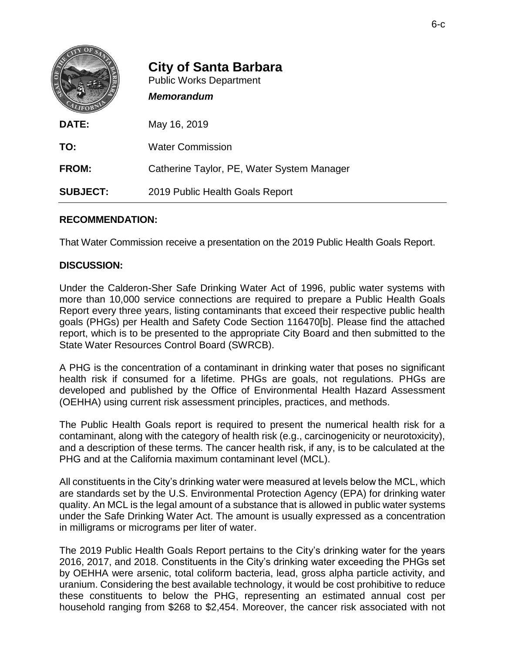|                 | <b>City of Santa Barbara</b><br><b>Public Works Department</b><br><b>Memorandum</b> |
|-----------------|-------------------------------------------------------------------------------------|
| DATE:           | May 16, 2019                                                                        |
| TO:             | <b>Water Commission</b>                                                             |
| <b>FROM:</b>    | Catherine Taylor, PE, Water System Manager                                          |
| <b>SUBJECT:</b> | 2019 Public Health Goals Report                                                     |

## **RECOMMENDATION:**

That Water Commission receive a presentation on the 2019 Public Health Goals Report.

## **DISCUSSION:**

Under the Calderon-Sher Safe Drinking Water Act of 1996, public water systems with more than 10,000 service connections are required to prepare a Public Health Goals Report every three years, listing contaminants that exceed their respective public health goals (PHGs) per Health and Safety Code Section 116470[b]. Please find the attached report, which is to be presented to the appropriate City Board and then submitted to the State Water Resources Control Board (SWRCB).

A PHG is the concentration of a contaminant in drinking water that poses no significant health risk if consumed for a lifetime. PHGs are goals, not regulations. PHGs are developed and published by the Office of Environmental Health Hazard Assessment (OEHHA) using current risk assessment principles, practices, and methods.

The Public Health Goals report is required to present the numerical health risk for a contaminant, along with the category of health risk (e.g., carcinogenicity or neurotoxicity), and a description of these terms. The cancer health risk, if any, is to be calculated at the PHG and at the California maximum contaminant level (MCL).

All constituents in the City's drinking water were measured at levels below the MCL, which are [standards](https://en.wikipedia.org/wiki/Standardization) set by the [U.S. Environmental Protection Agency](https://en.wikipedia.org/wiki/United_States_Environmental_Protection_Agency) (EPA) for [drinking water](https://en.wikipedia.org/wiki/Drinking_water) quality. An MCL is the legal amount of a substance that is allowed in [public water systems](https://en.wikipedia.org/wiki/Public_water_system) under the [Safe Drinking Water Act.](https://en.wikipedia.org/wiki/Safe_Drinking_Water_Act) The amount is usually expressed as a [concentration](https://en.wikipedia.org/wiki/Concentration) in milligrams or micrograms per liter of water.

The 2019 Public Health Goals Report pertains to the City's drinking water for the years 2016, 2017, and 2018. Constituents in the City's drinking water exceeding the PHGs set by OEHHA were arsenic, total coliform bacteria, lead, gross alpha particle activity, and uranium. Considering the best available technology, it would be cost prohibitive to reduce these constituents to below the PHG, representing an estimated annual cost per household ranging from \$268 to \$2,454. Moreover, the cancer risk associated with not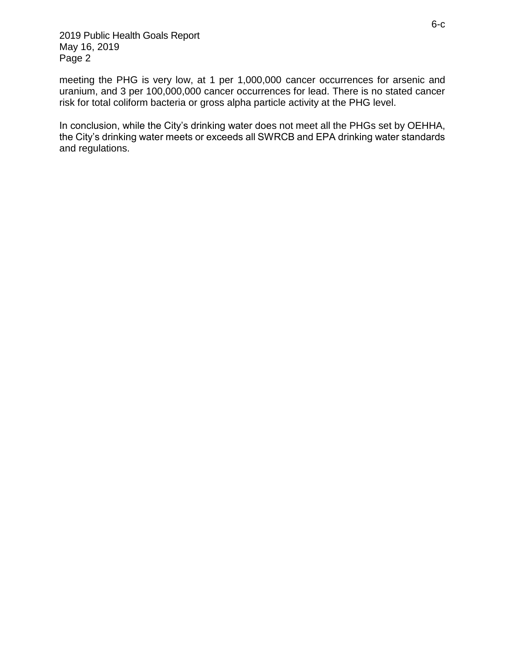2019 Public Health Goals Report May 16, 2019 Page 2

meeting the PHG is very low, at 1 per 1,000,000 cancer occurrences for arsenic and uranium, and 3 per 100,000,000 cancer occurrences for lead. There is no stated cancer risk for total coliform bacteria or gross alpha particle activity at the PHG level.

In conclusion, while the City's drinking water does not meet all the PHGs set by OEHHA, the City's drinking water meets or exceeds all SWRCB and EPA drinking water standards and regulations.